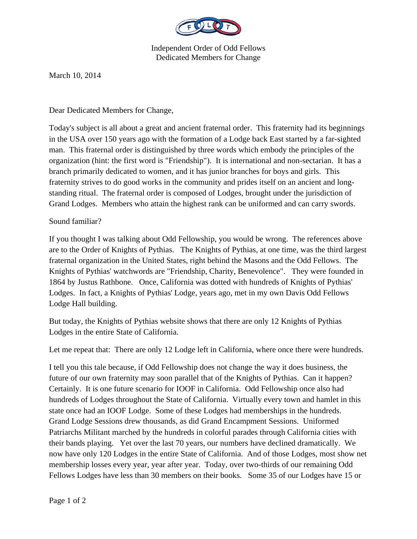

Independent Order of Odd Fellows Dedicated Members for Change

March 10, 2014

Dear Dedicated Members for Change,

Today's subject is all about a great and ancient fraternal order. This fraternity had its beginnings in the USA over 150 years ago with the formation of a Lodge back East started by a far-sighted man. This fraternal order is distinguished by three words which embody the principles of the organization (hint: the first word is "Friendship"). It is international and non-sectarian. It has a branch primarily dedicated to women, and it has junior branches for boys and girls. This fraternity strives to do good works in the community and prides itself on an ancient and longstanding ritual. The fraternal order is composed of Lodges, brought under the jurisdiction of Grand Lodges. Members who attain the highest rank can be uniformed and can carry swords.

## Sound familiar?

If you thought I was talking about Odd Fellowship, you would be wrong. The references above are to the Order of Knights of Pythias. The Knights of Pythias, at one time, was the third largest fraternal organization in the United States, right behind the Masons and the Odd Fellows. The Knights of Pythias' watchwords are "Friendship, Charity, Benevolence". They were founded in 1864 by Justus Rathbone. Once, California was dotted with hundreds of Knights of Pythias' Lodges. In fact, a Knights of Pythias' Lodge, years ago, met in my own Davis Odd Fellows Lodge Hall building.

But today, the Knights of Pythias website shows that there are only 12 Knights of Pythias Lodges in the entire State of California.

Let me repeat that: There are only 12 Lodge left in California, where once there were hundreds.

I tell you this tale because, if Odd Fellowship does not change the way it does business, the future of our own fraternity may soon parallel that of the Knights of Pythias. Can it happen? Certainly. It is one future scenario for IOOF in California. Odd Fellowship once also had hundreds of Lodges throughout the State of California. Virtually every town and hamlet in this state once had an IOOF Lodge. Some of these Lodges had memberships in the hundreds. Grand Lodge Sessions drew thousands, as did Grand Encampment Sessions. Uniformed Patriarchs Militant marched by the hundreds in colorful parades through California cities with their bands playing. Yet over the last 70 years, our numbers have declined dramatically. We now have only 120 Lodges in the entire State of California. And of those Lodges, most show net membership losses every year, year after year. Today, over two-thirds of our remaining Odd Fellows Lodges have less than 30 members on their books. Some 35 of our Lodges have 15 or